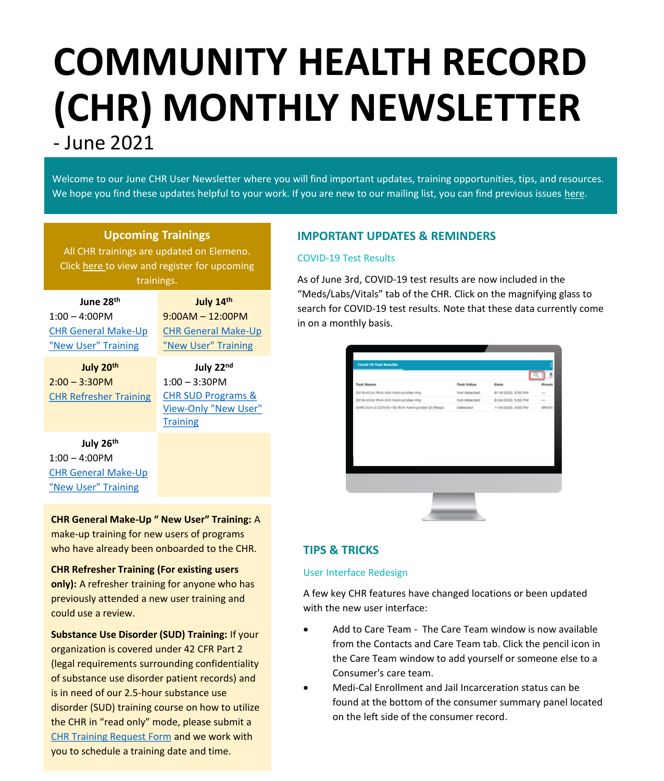# **COMMUNITY HEALTH RECORD (CHR) MONTHLY NEWSLETTER** - June 2021

Welcome to our June CHR User Newsletter where you will find important updates, training opportunities, tips, and resources. We hope you find these updates helpful to your work. If you are new to our mailing list, you can find previous issues [here.](https://careconnect.elemenohealth.com/#/resource/QR2fa4749dfbec3a1f0890?source=link&scrollTo=chr-user-newsletters)

## **Upcoming Trainings**

All CHR trainings are updated on Elemeno. Click [here](https://careconnect.ucsf.edu/ACCC/index.html) to view and register for upcoming trainings.

| June 28 <sup>th</sup>      | July 14th                 |  |  |
|----------------------------|---------------------------|--|--|
| $1:00 - 4:00$ PM           | $9:00AM - 12:00PM$        |  |  |
| <b>CHR General Make-Up</b> | <b>CHR General Make-U</b> |  |  |
| "New User" Training        | "New User" Training       |  |  |
| July 20th                  | July 22nd                 |  |  |

2:00 – 3:30PM [CHR Refresher Training](https://nam02.safelinks.protection.outlook.com/?url=https%3A%2F%2Fattendee.gototraining.com%2Fr%2F5750416541971348738&data=04%7C01%7Ckatsmith%40pcgus.com%7C77cdd77fb9444df14e1608d92a1ad156%7Cd9b110c34c254379b97ae248938cc17b%7C0%7C0%7C637587116946337127%7CUnknown%7CTWFpbGZsb3d8eyJWIjoiMC4wLjAwMDAiLCJQIjoiV2luMzIiLCJBTiI6Ik1haWwiLCJXVCI6Mn0%3D%7C1000&sdata=EICJzdCijiBpz6hvqf%2B3TG5me3%2BQZ4MiIKTzamS83aU%3D&reserved=0)

**July 22nd** 1:00 – 3:30PM CHR SUD Programs & [View-Only "New User"](https://nam02.safelinks.protection.outlook.com/?url=https%3A%2F%2Fattendee.gototraining.com%2Fr%2F994918800677508610&data=04%7C01%7Ckatsmith%40pcgus.com%7C77cdd77fb9444df14e1608d92a1ad156%7Cd9b110c34c254379b97ae248938cc17b%7C0%7C0%7C637587116946347083%7CUnknown%7CTWFpbGZsb3d8eyJWIjoiMC4wLjAwMDAiLCJQIjoiV2luMzIiLCJBTiI6Ik1haWwiLCJXVCI6Mn0%3D%7C1000&sdata=3U%2BU4RNMJjg8pvy9gqoOL%2Fm2Z4ecvNN%2FV%2BcNN0sJnr0%3D&reserved=0)  **Training** 

 $-Up$ 

# **July 26th**

1:00 – 4:00PM [CHR General Make-Up](https://nam02.safelinks.protection.outlook.com/?url=https%3A%2F%2Fattendee.gototraining.com%2Fr%2F3818019358596835074&data=04%7C01%7Ckatsmith%40pcgus.com%7C77cdd77fb9444df14e1608d92a1ad156%7Cd9b110c34c254379b97ae248938cc17b%7C0%7C0%7C637587116946347083%7CUnknown%7CTWFpbGZsb3d8eyJWIjoiMC4wLjAwMDAiLCJQIjoiV2luMzIiLCJBTiI6Ik1haWwiLCJXVCI6Mn0%3D%7C1000&sdata=64DCKN6UXog2txaON2spcujow0TfqaGXopJ%2FAiN1gus%3D&reserved=0) "New User" Training

**CHR General Make-Up " New User" Training:** A make-up training for new users of programs who have already been onboarded to the CHR.

**CHR Refresher Training (For existing users only):** A refresher training for anyone who has previously attended a new user training and could use a review.

**Substance Use Disorder (SUD) Training:** If your organization is covered under 42 CFR Part 2 (legal requirements surrounding confidentiality of substance use disorder patient records) and is in need of our 2.5-hour substance use disorder (SUD) training course on how to utilize the CHR in "read only" mode, please submit a [CHR Training Request Form](https://app.smartsheet.com/b/form/dd6d97d97097489a91249b9284601400) and we work with you to schedule a training date and time.

# **IMPORTANT UPDATES & REMINDERS**

# COVID-19 Test Results

As of June 3rd, COVID-19 test results are now included in the "Meds/Labs/Vitals" tab of the CHR. Click on the magnifying glass to search for COVID-19 test results. Note that these data currently come in on a monthly basis.

|                                                      | ٠<br><b>Test Value</b> | Date               | Petrole |
|------------------------------------------------------|------------------------|--------------------|---------|
| <b>Test Name</b><br>2019-ACtrs RNA XXX NAA+probe-tmp | hoot detected          | 8/16/2020, 5:00 PM | $\sim$  |
| 2019-nCoV RNA XXX NAA-probe-imp                      | Not detected           | 8/24/2020, 5:00 PM | $\sim$  |
| SARS-CoV-2 (COVID-19) RNA NAA-probe QI (Resp)        | Detected               | 11/6/2020, 4:00 PM | BRICK   |
|                                                      |                        |                    |         |
|                                                      |                        |                    |         |
|                                                      |                        |                    |         |

# **TIPS & TRICKS**

## User Interface Redesign

A few key CHR features have changed locations or been updated with the new user interface:

- Add to Care Team The Care Team window is now available from the Contacts and Care Team tab. Click the pencil icon in the Care Team window to add yourself or someone else to a Consumer's care team.
- Medi-Cal Enrollment and Jail Incarceration status can be found at the bottom of the consumer summary panel located on the left side of the consumer record.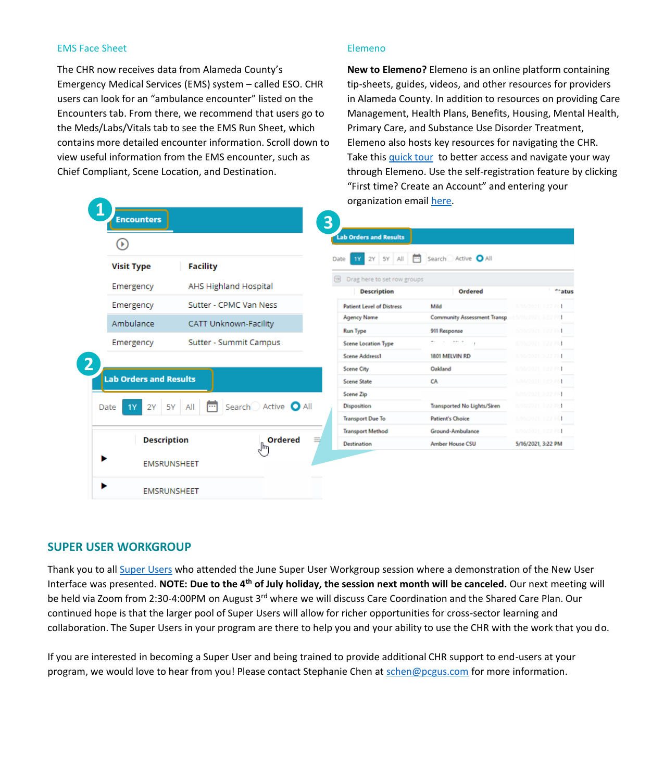#### EMS Face Sheet

The CHR now receives data from Alameda County's Emergency Medical Services (EMS) system – called ESO. CHR users can look for an "ambulance encounter" listed on the Encounters tab. From there, we recommend that users go to the Meds/Labs/Vitals tab to see the EMS Run Sheet, which contains more detailed encounter information. Scroll down to view useful information from the EMS encounter, such as Chief Compliant, Scene Location, and Destination.

#### Elemeno

**New to Elemeno?** Elemeno is an online platform containing tip-sheets, guides, videos, and other resources for providers in Alameda County. In addition to resources on providing Care Management, Health Plans, Benefits, Housing, Mental Health, Primary Care, and Substance Use Disorder Treatment, Elemeno also hosts key resources for navigating the CHR. Take this [quick tour](https://careconnect.elemenohealth.com/#/resource/QR3962170dad740c260516?source=resources) to better access and navigate your way through Elemeno. Use the self-registration feature by clicking "First time? Create an Account" and entering your organization email [here](https://careconnect.elemenohealth.com/#/login).

| <b>Encounters</b>             |                                   |     | UI KANILALIUN CHIAN NEI C.                        |                                       |                                          |
|-------------------------------|-----------------------------------|-----|---------------------------------------------------|---------------------------------------|------------------------------------------|
| œ                             |                                   | 3   | <b>Lab Orders and Results</b>                     |                                       |                                          |
| <b>Visit Type</b>             | <b>Facility</b>                   |     | Date                                              | 2Y   5Y   All   [ Search Active   All |                                          |
| Emergency                     | <b>AHS Highland Hospital</b>      | hei | Drag here to set row groups<br><b>Description</b> | Ordered                               | eratus                                   |
| Emergency                     | Sutter - CPMC Van Ness            |     | <b>Patient Level of Distress</b>                  | Mild                                  | S/16/2021, 3:22 PM                       |
| Ambulance                     | <b>CATT Unknown-Facility</b>      |     | <b>Agency Name</b>                                | <b>Community Assessment Transp</b>    | 5/16/2021, 3:22 PN                       |
|                               |                                   |     | <b>Run Type</b>                                   | 911 Response                          | 5/16/2021, 3:22 PM                       |
| Emergency                     | Sutter - Summit Campus            |     | Scene Location Type                               | discussion and the con-               | 5/16/2021, 3:22 PM                       |
|                               |                                   |     | <b>Scene Address1</b>                             | 1801 MELVIN RD                        | 5/16/2021, 3:22 PM                       |
|                               |                                   |     | <b>Scene City</b>                                 | Oakland                               | 5/16/2021, 3:22 PM                       |
| <b>Lab Orders and Results</b> |                                   |     | <b>Scene State</b>                                | CA                                    | 5/16/2021, 3:22 PM                       |
| 5Y<br>Date<br>2Y<br><b>1Y</b> | Search Active <b>O</b> All<br>All |     | Scene Zip<br>Disposition                          | Transported No Lights/Siren           | 5/16/2021, 3:22 PM<br>S/16/2021, 3:22 PM |
|                               |                                   |     | <b>Transport Due To</b>                           | <b>Patient's Choice</b>               | 5/16/2021 3:22 PM                        |
|                               |                                   |     | <b>Transport Method</b>                           | Ground-Ambulance                      | 5/16/2021, 3:22 PM                       |
| <b>Description</b>            | Ordered                           |     | <b>Destination</b>                                | <b>Amber House CSU</b>                | 5/16/2021, 3:22 PM                       |
| <b>EMSRUNSHEET</b>            |                                   |     |                                                   |                                       |                                          |
| <b>EMSRUNSHEET</b>            |                                   |     |                                                   |                                       |                                          |

## **SUPER USER WORKGROUP**

Thank you to all [Super Users](https://careconnect.elemenohealth.com/#/resource/QR6b55c213baa8a65f308b?source=reference) who attended the June Super User Workgroup session where a demonstration of the New User Interface was presented. **NOTE: Due to the 4th of July holiday, the session next month will be canceled.** Our next meeting will be held via Zoom from 2:30-4:00PM on August 3<sup>rd</sup> where we will discuss Care Coordination and the Shared Care Plan. Our continued hope is that the larger pool of Super Users will allow for richer opportunities for cross-sector learning and collaboration. The Super Users in your program are there to help you and your ability to use the CHR with the work that you do.

If you are interested in becoming a Super User and being trained to provide additional CHR support to end-users at your program, we would love to hear from you! Please contact Stephanie Chen at [schen@pcgus.com](mailto:schen@pcgus.com) for more information.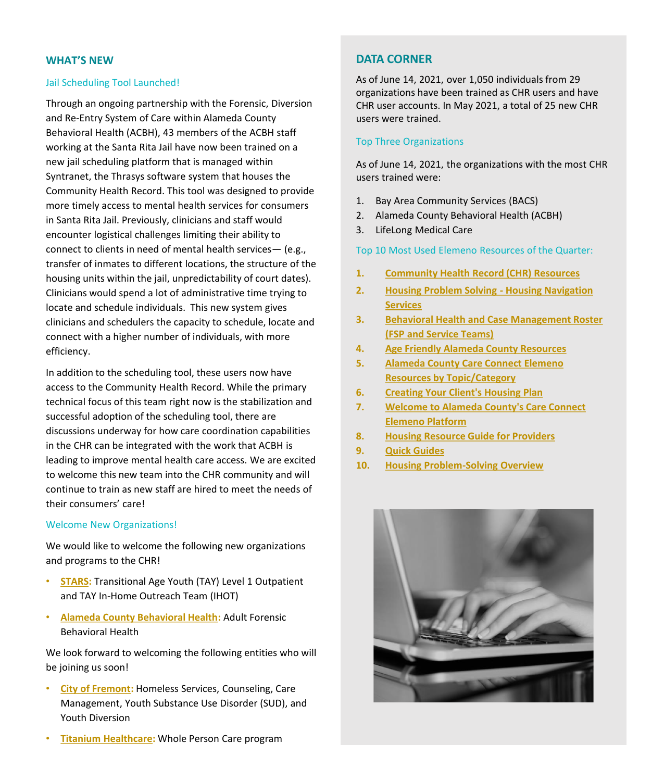#### **WHAT'S NEW**

#### Jail Scheduling Tool Launched!

Through an ongoing partnership with the Forensic, Diversion and Re-Entry System of Care within Alameda County Behavioral Health (ACBH), 43 members of the ACBH staff working at the Santa Rita Jail have now been trained on a new jail scheduling platform that is managed within Syntranet, the Thrasys software system that houses the Community Health Record. This tool was designed to provide more timely access to mental health services for consumers in Santa Rita Jail. Previously, clinicians and staff would encounter logistical challenges limiting their ability to connect to clients in need of mental health services— (e.g., transfer of inmates to different locations, the structure of the housing units within the jail, unpredictability of court dates). Clinicians would spend a lot of administrative time trying to locate and schedule individuals. This new system gives clinicians and schedulers the capacity to schedule, locate and connect with a higher number of individuals, with more efficiency.

In addition to the scheduling tool, these users now have access to the Community Health Record. While the primary technical focus of this team right now is the stabilization and successful adoption of the scheduling tool, there are discussions underway for how care coordination capabilities in the CHR can be integrated with the work that ACBH is leading to improve mental health care access. We are excited to welcome this new team into the CHR community and will continue to train as new staff are hired to meet the needs of their consumers' care!

#### Welcome New Organizations!

We would like to welcome the following new organizations and programs to the CHR!

- **[STARS:](https://www.starsinc.com/alameda-county/)** Transitional Age Youth (TAY) Level 1 Outpatient and TAY In-Home Outreach Team (IHOT)
- **[Alameda County Behavioral Health:](http://www.acbhcs.org/)** Adult Forensic Behavioral Health

We look forward to welcoming the following entities who will be joining us soon!

- **[City of Fremont:](https://www.fremont.gov/)** Homeless Services, Counseling, Care Management, Youth Substance Use Disorder (SUD), and Youth Diversion
- **[Titanium Healthcare:](https://tihealthcare.com/)** Whole Person Care program

#### **DATA CORNER**

As of June 14, 2021, over 1,050 individuals from 29 organizations have been trained as CHR users and have CHR user accounts. In May 2021, a total of 25 new CHR users were trained.

#### Top Three Organizations

As of June 14, 2021, the organizations with the most CHR users trained were:

- 1. Bay Area Community Services (BACS)
- 2. Alameda County Behavioral Health (ACBH)
- 3. LifeLong Medical Care

Top 10 Most Used Elemeno Resources of the Quarter:

- **1. [Community Health Record \(CHR\) Resources](https://careconnect.elemenohealth.com/#/resource/QR2fa4749dfbec3a1f0890?source=resources)**
- **2. [Housing Problem Solving -](https://careconnect.elemenohealth.com/#/resource/QR579681a309c7b176ee14?source=resources) Housing Navigation Services**
- **3. [Behavioral Health and Case Management Roster](https://careconnect.elemenohealth.com/#/resource/QRa31dd54d4816e8f5b512?source=resources)  (FSP and Service Teams)**
- **4. [Age Friendly Alameda County Resources](https://careconnect.elemenohealth.com/#/resource/QRa5950ecc6a387e03121c?source=resources)**
- **5. [Alameda County Care Connect Elemeno](https://careconnect.elemenohealth.com/#/resource/QR51a4744beaa966967f6a?source=resources) Resources by Topic/Category**
- **6. [Creating Your Client's Housing Plan](https://careconnect.elemenohealth.com/#/resource/QRef62ac137e64449c5d20?source=resources)**
- **7. [Welcome to Alameda County's Care Connect](https://careconnect.elemenohealth.com/#/resource/QR292f517d90e4a54d2f83?source=resources)  Elemeno Platform**
- **8. [Housing Resource Guide for Providers](https://careconnect.elemenohealth.com/#/resource/QR6c46c773c1899253e0c0?source=resources)**
- **9. [Quick Guides](https://careconnect.elemenohealth.com/#/resource/QR1ccdb9cfea7d2d816468?source=reference)**
- **10. [Housing Problem-Solving Overview](https://careconnect.elemenohealth.com/#/resource/QRda589e48b378790a97d7?source=resources)**